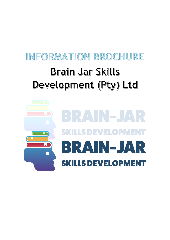# INFORMATION BROCHURE **Brain Jar Skills** Development (Pty) Ltd

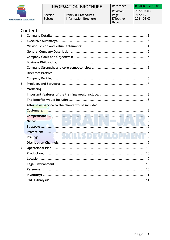

## **Contents**

| 1.               |                                         |
|------------------|-----------------------------------------|
| 2.               |                                         |
| 3.               |                                         |
| $\overline{4}$ . |                                         |
|                  |                                         |
|                  |                                         |
|                  |                                         |
|                  |                                         |
|                  |                                         |
| 5.               |                                         |
| 6.               |                                         |
|                  |                                         |
|                  |                                         |
|                  |                                         |
|                  |                                         |
|                  |                                         |
|                  |                                         |
|                  |                                         |
|                  | <b>.</b><br>$\sim$ $\sim$ $\sim$ $\sim$ |
|                  |                                         |
|                  |                                         |
|                  |                                         |
| 7.               |                                         |
|                  |                                         |
|                  |                                         |
|                  |                                         |
|                  |                                         |
|                  |                                         |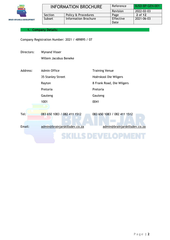

#### <span id="page-2-0"></span>**1. Company Details:**

Company Registration Number: 2021 / 489895 / 07

| Directors: | <b>Wynand Visser</b>          |                               |  |  |
|------------|-------------------------------|-------------------------------|--|--|
|            | Willem Jacobus Beneke         |                               |  |  |
|            |                               |                               |  |  |
| Address:   | Admin Office                  | <b>Training Venue</b>         |  |  |
|            | 35 Stanley Street             | Hoërskool Die Wilgers         |  |  |
|            | Rayton                        | 8 Frank Road, Die Wilgers     |  |  |
|            | Pretoria                      | Pretoria                      |  |  |
|            | Gauteng                       | Gauteng                       |  |  |
|            | 1001                          | 0041                          |  |  |
|            |                               |                               |  |  |
| Tel:       | 083 650 1083 / 082 411 1512   | 083 650 1083 / 082 411 1512   |  |  |
| Email:     | admin@brainjarskillsdev.co.za | admin@brainjarskillsdev.co.za |  |  |
|            |                               |                               |  |  |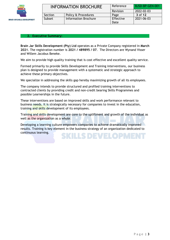

| <b>INFORMATION BROCHURE</b> |                             | Reference | BJSD-BP-GEN-001 |
|-----------------------------|-----------------------------|-----------|-----------------|
|                             |                             | Revision  | 2022-02-03      |
| Section                     | Policy & Procedures         | Page      | 3 of 12         |
| Subset                      | <b>Information Brochure</b> | Effective | 2021-06-03      |
|                             |                             | Date      |                 |

#### <span id="page-3-0"></span>**2. Executive Summary:**

**Brain Jar Skills Development (Pty) Ltd** operates as a Private Company registered in **March 2021**. The registration number is **2021 / 489895 / 07**. The Directors are Wynand Visser and Willem Jacobus Beneke.

We aim to provide high quality training that is cost effective and excellent quality service.

Formed primarily to provide Skills Development and Training interventions, our business plan is designed to provide management with a systematic and strategic approach to achieve these primary objectives.

We specialize in addressing the skills gap hereby maximizing growth of all its employees.

The company intends to provide structured and profiled training interventions to contracted clients by providing credit and non-credit bearing Skills Programmes and possible Learnerships in the future.

These interventions are based on improved skills and work performance relevant to business needs. It is strategically necessary for companies to invest in the education, training and skills development of its employees.

Training and skills development are core to the upliftment and growth of the individual as well as the organization as a whole.

Developing a learning culture empowers companies to achieve dramatically improved results. Training is key element in the business strategy of an organization dedicated to continuous learning.SKILLS DEVELOP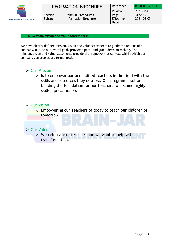

| <b>INFORMATION BROCHURE</b> |                      | Reference | BJSD-BP-GEN-001 |
|-----------------------------|----------------------|-----------|-----------------|
|                             |                      | Revision  | 2022-02-03      |
| Section                     | Policy & Procedures  | Page      | 4 of 12         |
| Subset                      | Information Brochure | Effective | 2021-06-03      |
|                             |                      | Date      |                 |

#### <span id="page-4-0"></span>**3. Mission, Vision and Value Statements:**

We have clearly defined mission, vision and value statements to guide the actions of our company, outline our overall goal, provide a path, and guide decision-making. The mission, vision and value statements provide the framework or context within which our company's strategies are formulated.

## ➢ Our Mission

 $\circ$  Is to empower our unqualified teachers in the field with the skills and resources they deserve. Our program is set on building the foundation for our teachers to become highly skilled practitioners

## ➢ Our Vision

**o Empowering our Teachers of today to teach our children of** tomorrow

## ➢ Our Values

o We celebrate differences and we want to help with transformation.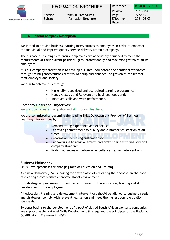

| <b>INFORMATION BROCHURE</b> |                             | Reference | BJSD-BP-GEN-001 |
|-----------------------------|-----------------------------|-----------|-----------------|
|                             |                             | Revision  | 2022-02-03      |
| Section                     | Policy & Procedures         | Page      | 5 of 12         |
| Subset                      | <b>Information Brochure</b> | Effective | 2021-06-03      |
|                             |                             | Date      |                 |

#### <span id="page-5-0"></span>**4. General Company Description**

We intend to provide business learning interventions to employees in order to empower the individual and improve quality service delivery within a company.

The purpose of training is to ensure employees are adequately equipped to meet the requirements of their current positions, grow professionally and maximise growth of all its employees.

It is our company's intention is to develop a skilled, competent and confident workforce through training interventions that would equip and enhance the growth of the learner, their employer and society.

We aim to achieve this through:

- Nationally recognised and accredited learning programmes;
- Needs Analysis and Relevance to business needs and;
- Improved skills and work performance.

#### <span id="page-5-1"></span>**Company Goals and Objectives:**

We want to increase the quality and skills of our teachers.

We are committed to becoming the leading Skills Development Provider of Business Learning Interventions by:

- Demonstrating Experience and expertise.
- Expressing commitment to quality and customer satisfaction at all times. and the set of the set of the set of the set of the set of the set of the set of the set of the set of the set of the set of the set of the set of the set of the set of the set of the set of the set of the set of th
- Creating an increasing customer base.
- Endeavouring to achieve growth and profit in line with industry and company standards.
- Priding ourselves on delivering excellence training interventions.

#### <span id="page-5-2"></span>**Business Philosophy:**

Skills Development is the changing face of Education and Training.

As a new democracy, SA is looking for better ways of educating their people, in the hope of creating a competitive economic global environment.

It is strategically necessary for companies to invest in the education, training and skills development of its employees.

All education, training and development interventions should be aligned to business needs and strategies, comply with relevant legislation and meet the highest possible quality standards.

By contributing to the development of a pool of skilled South African workers, companies are supporting the National Skills Development Strategy and the principles of the National Qualifications Framework (NQF).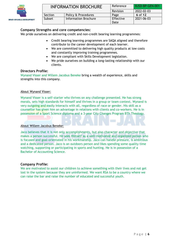

#### <span id="page-6-0"></span>**Company Strengths and core competencies:**

We pride ourselves on delivering credit and non-credit bearing learning programmes:

- Credit bearing learning programmes are SAQA aligned and therefore contribute to the career development of each learner.
- We are committed to delivering high quality products at low costs and constantly improving training programmes.
- We are compliant with Skills Development legislation.
- We pride ourselves on building a long-lasting relationship with our clients.

#### <span id="page-6-1"></span>**Directors Profile:**

Wynand Visser and Willem Jacobus Beneke bring a wealth of experience, skills and strengths into this company.

#### About Wynand Visser:

Wynand Visser is a self-starter who thrives on any challenge presented. He has strong morals, sets high standards for himself and thrives in a group or team context. Wynand is very outgoing and easily interacts with all, regardless of race or gender. His skill as a counsellor has given him an advantage in relations with clients and co-workers. He is in possession of a Sport Science diploma and a 3-year City Changes Program BTh Theology.

#### About Willem Jacobus Beneke:

Jaco believes that it is not only accomplishments, but also character and objective that makes a person successful. He sees Himself as a well-motivated and organized person who is focused and goal-orientated in his workmanship. Jaco can handle pressure, is ambitious and a dedicated person. Jaco is an outdoors person and likes spending some quality time watching, supporting or participating in sports and hunting. He is in possession of a Bachelor of Accounting Science.

#### <span id="page-6-2"></span>**Company Profile:**

We are motivated to assist our children to achieve something with their lives and not get lost in the system because they are uninformed. We want RSA to be a country where we can raise the bar and raise the number of educated and successful youth.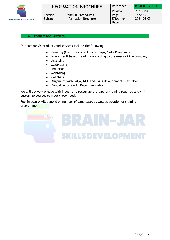

| <b>INFORMATION BROCHURE</b> |                      | Reference | BJSD-BP-GEN-001 |
|-----------------------------|----------------------|-----------|-----------------|
|                             |                      | Revision  | 2022-02-03      |
| Section                     | Policy & Procedures  | Page      | <b>7</b> of 12  |
| Subset                      | Information Brochure | Effective | 2021-06-03      |
|                             |                      | Date      |                 |

#### <span id="page-7-0"></span>**5. Products and Services:**

Our company's products and services include the following:

- Training (Credit bearing) Learnerships, Skills Programmes
- Non credit based training according to the needs of the company
- Assessing
- **Moderating**
- Induction
- Mentoring
- Coaching
- Alignment with SAQA, NQF and Skills Development Legislation
- Annual reports with Recommendations

We will actively engage with industry to recognize the type of training required and will customize courses to meet those needs

Fee Structure will depend on number of candidates as well as duration of training programme.

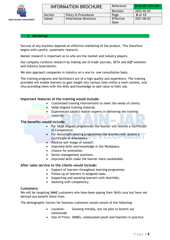

| <b>INFORMATION BROCHURE</b> |                      | Reference | BJSD-BP-GEN-001 |
|-----------------------------|----------------------|-----------|-----------------|
|                             |                      | Revision  | 2022-02-03      |
| Section                     | Policy & Procedures  | Page      | 8 of 12         |
| Subset                      | Information Brochure | Effective | 2021-06-03      |
|                             |                      | Date      |                 |

#### <span id="page-8-0"></span>**6. Marketing:**

Success of any business depends on effective marketing of the product. This therefore begins with careful, systematic research.

Market research is important as to who are the market and industry players.

Our company conducts research by making use of trade journals, SETA and AQP websites and industry associations.

We also approach companies in industry on a one-to- one consultation basis.

The training programs and facilitators are of a high quality and experience. The training provided will enable learners to gain insight into various roles within a work context, and thus providing them with the skills and knowledge to add value to their job.

#### <span id="page-8-1"></span>**Important features of the training would include:**

- Customised training interventions to meet the needs of clients.
- SAQA Aligned training material.
- $\bullet$  Experienced subject matter experts in delivering the training material.

#### <span id="page-8-2"></span>**The benefits would include:**

- For SAQA Aligned programmes the learner will receive a Certificate of Competence.
- For Non-credit bearing programmes the learners will receive a Certificate of Attendance
- Positive self-image of oneself.
- Improved skills and knowledge in the Workplace.
- Chance for promotion.
- Senior management positions.
- Improved skills make the learner more marketable.

#### <span id="page-8-3"></span>**After sales service to the clients would include:**

- Support of learners throughout learning programme.
- Follow up of learners in assigned tasks.
- Supporting and assisting learners with shortfalls.
- Assisting with competency.

#### <span id="page-8-4"></span>**Customers:**

We will be targeting SMME customers who have been paying their Skills Levy but have not derived any benefit there from.

The demographic factors for business customers would consist of the following:

- Location: Gauteng initially, but we plan to branch out nationwide
- Size of Firms: SMMEs, uneducated youth and teachers in practice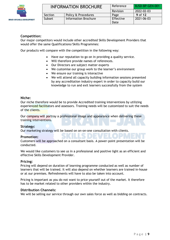

#### <span id="page-9-0"></span>**Competition:**

Our major competitors would include other accredited Skills Development Providers that would offer the same Qualifications/Skills Programmes:

Our products will compare with the competition in the following way:

- Have our reputation to go on in providing a quality service.
- Will therefore provide names of references.
- Our Directors are subject matter experts
- We customise our group work to the learner's environment
- We ensure our training is interactive
- We will attend all capacity building information sessions presented by any accreditation industry expert in order to capacity build our knowledge to run and exit learners successfully from the system

#### <span id="page-9-1"></span>**Niche:**

Our niche therefore would be to provide Accredited training interventions by utilizing experienced facilitators and assessors. Training needs will be customized to suit the needs of the clients.

Our company will portray a professional image and appearance when delivering these training interventions.

#### <span id="page-9-2"></span>**Strategy:**

Our marketing strategy will be based on on-on-one consultation with clients.

#### <span id="page-9-3"></span>**Promotion:**

Customers will be approached on a consultant basis. A power-point presentation will be conducted.

We would like customers to see us in a professional and positive light as an efficient and effective Skills Development Provider.

#### <span id="page-9-4"></span>**Pricing:**

Pricing will depend on duration of learning programme conducted as well as number of learners that will be trained. It will also depend on whether learners are trained in-house or at our premises. Refreshments will have to also be taken into account.

Pricing is important as you do not want to price yourself out of the market. It therefore has to be market related to other providers within the industry.

#### <span id="page-9-5"></span>**Distribution Channels:**

We will be selling our service through our own sales force as well as bidding on contracts.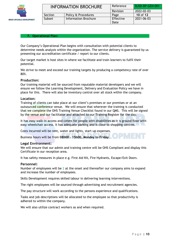

| <b>INFORMATION BROCHURE</b> |                             | Reference | BJSD-BP-GEN-001 |
|-----------------------------|-----------------------------|-----------|-----------------|
|                             |                             | Revision  | 2022-02-03      |
| Section                     | Policy & Procedures         | Page      | 10 of 12        |
| Subset                      | <b>Information Brochure</b> | Effective | 2021-06-03      |
|                             |                             | Date      |                 |

#### <span id="page-10-0"></span>**7. Operational Plan:**

Our Company's Operational Plan begins with consultation with potential clients to determine needs analysis within the organization. The service delivery is guaranteed by us presenting our accreditation certificate / report to our clients.

Our target market is host sites in where we facilitate and train learners to fulfil their potential.

We strive to meet and exceed our training targets by producing a competency rate of over 80%.

#### <span id="page-10-1"></span>**Production:**

Our training material will be sourced from reputable material developers and we will ensure we follow the Learning Development, Delivery and Evaluation Policy we have in place for this. There will also be inventory control over all stock within the company.

#### <span id="page-10-2"></span>**Location:**

Training of clients can take place at our client's premises or our premises or at an outsourced conference venue. We will ensure that wherever the training is conducted that we complete the OHS Training Venue Checklist found in our QMS. This will be signed by the venue and our facilitator and attached to our Training Register for the day.

It has easy walk-in access and caters for people with disabilities as it is ground floor with easy wheelchair access. It has adequate parking and is close to shopping centres.

Costs incurred will be rent, water and lights, start-up expenses.

Business hours will be from **08h00 – 15h00, Monday to Friday**.

#### <span id="page-10-3"></span>**Legal Environment:**

We will ensure that our admin and training centre will be OHS Compliant and display this Certificate in our reception area.

It has safety measures in place e.g. First Aid Kit, Fire Hydrants, Escape/Exit Doors.

#### <span id="page-10-4"></span>**Personnel:**

Number of employees will be 2 at the onset and thereafter our company aims to expand and increase the number of employees.

Skills Development requires skilled labour in delivering learning interventions.

The right employees will be sourced through advertising and recruitment agencies.

The pay structure will work according to the persons experience and qualifications.

Tasks and job descriptions will be allocated to the employee so that productivity is adhered to within the company.

We will also utilize contract workers as and when required.